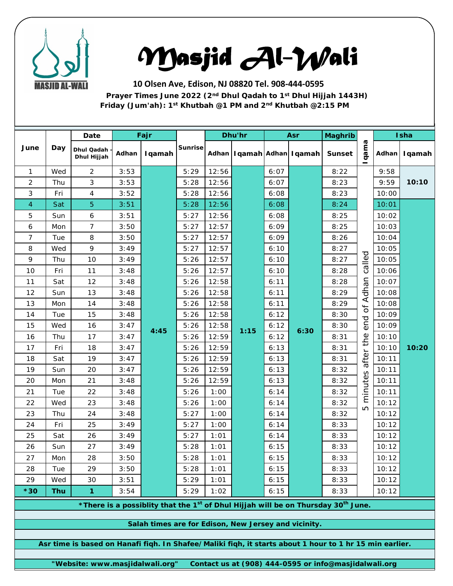

## *Masjid Al-Wali*

**10 Olsen Ave, Edison, NJ 08820 Tel. 908-444-0595 Prayer Times June 2022 (2nd Dhul Qadah to 1st Dhul Hijjah 1443H) Friday (Jum'ah): 1st Khutbah @1 PM and 2nd Khutbah @2:15 PM**

| June                                                                                                      |            | Date                      | Fajr  |                |                |       | Dhu'hr                            |      | Asr  | <b>Maghrib</b> |                                                      |       | Isha   |  |
|-----------------------------------------------------------------------------------------------------------|------------|---------------------------|-------|----------------|----------------|-------|-----------------------------------|------|------|----------------|------------------------------------------------------|-------|--------|--|
|                                                                                                           | Day        | Dhul Qadah<br>Dhul Hijjah | Adhan | <b>I</b> qamah | <b>Sunrise</b> |       | Adhan   I qamah   Adhan   I qamah |      |      | <b>Sunset</b>  | qama                                                 | Adhan | Iqamah |  |
| $\mathbf{1}$                                                                                              | Wed        | $\overline{2}$            | 3:53  |                | 5:29           | 12:56 |                                   | 6:07 |      | 8:22           | called<br>end of Adhan<br>after the<br>minutes<br>LO | 9:58  |        |  |
| $\overline{2}$                                                                                            | Thu        | 3                         | 3:53  |                | 5:28           | 12:56 |                                   | 6:07 |      | 8:23           |                                                      | 9:59  | 10:10  |  |
| 3                                                                                                         | Fri        | 4                         | 3:52  |                | 5:28           | 12:56 |                                   | 6:08 |      | 8:23           |                                                      | 10:00 |        |  |
| $\overline{4}$                                                                                            | Sat        | $\overline{5}$            | 3:51  |                | 5:28           | 12:56 |                                   | 6:08 |      | 8:24           |                                                      | 10:01 |        |  |
| 5                                                                                                         | Sun        | 6                         | 3:51  |                | 5:27           | 12:56 |                                   | 6:08 |      | 8:25           |                                                      | 10:02 |        |  |
| 6                                                                                                         | Mon        | $\overline{7}$            | 3:50  |                | 5:27           | 12:57 |                                   | 6:09 |      | 8:25           |                                                      | 10:03 |        |  |
| $\overline{7}$                                                                                            | Tue        | 8                         | 3:50  |                | 5:27           | 12:57 |                                   | 6:09 |      | 8:26           |                                                      | 10:04 |        |  |
| 8                                                                                                         | Wed        | 9                         | 3:49  |                | 5:27           | 12:57 |                                   | 6:10 |      | 8:27           |                                                      | 10:05 |        |  |
| 9                                                                                                         | Thu        | 10                        | 3:49  |                | 5:26           | 12:57 |                                   | 6:10 |      | 8:27           |                                                      | 10:05 |        |  |
| 10                                                                                                        | Fri        | 11                        | 3:48  |                | 5:26           | 12:57 |                                   | 6:10 |      | 8:28           |                                                      | 10:06 |        |  |
| 11                                                                                                        | Sat        | 12                        | 3:48  |                | 5:26           | 12:58 |                                   | 6:11 | 6:30 | 8:28           |                                                      | 10:07 |        |  |
| 12                                                                                                        | Sun        | 13                        | 3:48  |                | 5:26           | 12:58 |                                   | 6:11 |      | 8:29           |                                                      | 10:08 |        |  |
| 13                                                                                                        | Mon        | 14                        | 3:48  |                | 5:26           | 12:58 |                                   | 6:11 |      | 8:29           |                                                      | 10:08 |        |  |
| 14                                                                                                        | Tue        | 15                        | 3:48  |                | 5:26           | 12:58 |                                   | 6:12 |      | 8:30           |                                                      | 10:09 |        |  |
| 15                                                                                                        | Wed        | 16                        | 3:47  | 4:45           | 5:26           | 12:58 | 1:15                              | 6:12 |      | 8:30           |                                                      | 10:09 |        |  |
| 16                                                                                                        | Thu        | 17                        | 3:47  |                | 5:26           | 12:59 |                                   | 6:12 |      | 8:31           |                                                      | 10:10 |        |  |
| 17                                                                                                        | Fri        | 18                        | 3:47  |                | 5:26           | 12:59 |                                   | 6:13 |      | 8:31           |                                                      | 10:10 | 10:20  |  |
| 18                                                                                                        | Sat        | 19                        | 3:47  |                | 5:26           | 12:59 |                                   | 6:13 |      | 8:31           |                                                      | 10:11 |        |  |
| 19                                                                                                        | Sun        | 20                        | 3:47  |                | 5:26           | 12:59 |                                   | 6:13 |      | 8:32           |                                                      | 10:11 |        |  |
| 20                                                                                                        | Mon        | 21                        | 3:48  |                | 5:26           | 12:59 |                                   | 6:13 |      | 8:32           |                                                      | 10:11 |        |  |
| 21                                                                                                        | Tue        | 22                        | 3:48  |                | 5:26           | 1:00  |                                   | 6:14 |      | 8:32           |                                                      | 10:11 |        |  |
| 22                                                                                                        | Wed        | 23                        | 3:48  |                | 5:26           | 1:00  |                                   | 6:14 |      | 8:32           |                                                      | 10:12 |        |  |
| 23                                                                                                        | Thu        | 24                        | 3:48  |                | 5:27           | 1:00  |                                   | 6:14 |      | 8:32           |                                                      | 10:12 |        |  |
| 24                                                                                                        | Fri        | 25                        | 3:49  |                | 5:27           | 1:00  |                                   | 6:14 |      | 8:33           |                                                      | 10:12 |        |  |
| 25                                                                                                        | Sat        | 26                        | 3:49  |                | 5:27           | 1:01  |                                   | 6:14 |      | 8:33           |                                                      | 10:12 |        |  |
| 26                                                                                                        | Sun        | 27                        | 3:49  |                | 5:28           | 1:01  |                                   | 6:15 |      | 8:33           |                                                      | 10:12 |        |  |
| 27                                                                                                        | Mon        | 28                        | 3:50  |                | 5:28           | 1:01  |                                   | 6:15 |      | 8:33           |                                                      | 10:12 |        |  |
| 28                                                                                                        | Tue        | 29                        | 3:50  |                | 5:28           | 1:01  |                                   | 6:15 |      | 8:33           |                                                      | 10:12 |        |  |
| 29                                                                                                        | Wed        | 30                        | 3:51  |                | 5:29           | 1:01  |                                   | 6:15 |      | 8:33           |                                                      | 10:12 |        |  |
| $*30$                                                                                                     | <b>Thu</b> | $\mathbf{1}$              | 3:54  |                | 5:29           | 1:02  |                                   | 6:15 |      | 8:33           |                                                      | 10:12 |        |  |
| *There is a possiblity that the 1 <sup>st</sup> of Dhul Hijjah will be on Thursday 30 <sup>th</sup> June. |            |                           |       |                |                |       |                                   |      |      |                |                                                      |       |        |  |
| Salah times are for Edison, New Jersey and vicinity.                                                      |            |                           |       |                |                |       |                                   |      |      |                |                                                      |       |        |  |
|                                                                                                           |            |                           |       |                |                |       |                                   |      |      |                |                                                      |       |        |  |
| Asr time is based on Hanafi fiqh. In Shafee/Maliki fiqh, it starts about 1 hour to 1 hr 15 min earlier.   |            |                           |       |                |                |       |                                   |      |      |                |                                                      |       |        |  |
| "Website: www.masjidalwali.org"<br>Contact us at (908) 444-0595 or info@masjidalwali.org                  |            |                           |       |                |                |       |                                   |      |      |                |                                                      |       |        |  |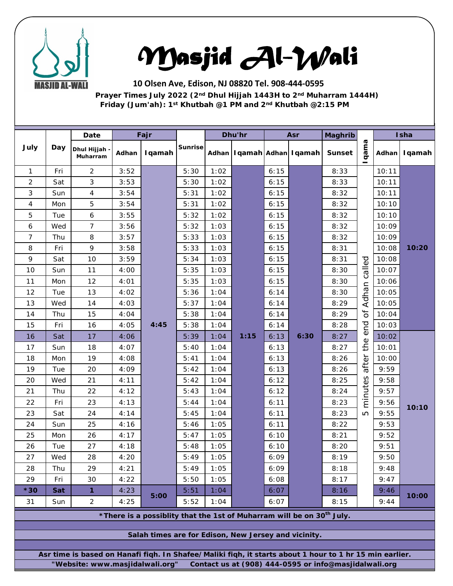

## *Masjid Al-Wali*

**10 Olsen Ave, Edison, NJ 08820 Tel. 908-444-0595 Prayer Times July 2022 (2nd Dhul Hijjah 1443H to 2nd Muharram 1444H) Friday (Jum'ah): 1st Khutbah @1 PM and 2nd Khutbah @2:15 PM**

|                                                                                                                                                                                                     | Day | Date                    |       | Fajr   |                | Dhu'hr |      | Asr  |                                   | <b>Maghrib</b> |                                                                     | Isha  |        |
|-----------------------------------------------------------------------------------------------------------------------------------------------------------------------------------------------------|-----|-------------------------|-------|--------|----------------|--------|------|------|-----------------------------------|----------------|---------------------------------------------------------------------|-------|--------|
| July                                                                                                                                                                                                |     | Dhul Hijjah<br>Muharram | Adhan | Iqamah | <b>Sunrise</b> |        |      |      | Adhan   I qamah   Adhan   I qamah | <b>Sunset</b>  | qama                                                                | Adhan | Iqamah |
| $\mathbf{1}$                                                                                                                                                                                        | Fri | $\overline{2}$          | 3:52  |        | 5:30           | 1:02   |      | 6:15 |                                   | 8:33           |                                                                     | 10:11 |        |
| $\overline{2}$                                                                                                                                                                                      | Sat | 3                       | 3:53  |        | 5:30           | 1:02   |      | 6:15 |                                   | 8:33           |                                                                     | 10:11 | 10:20  |
| 3                                                                                                                                                                                                   | Sun | 4                       | 3:54  |        | 5:31           | 1:02   |      | 6:15 |                                   | 8:32           |                                                                     | 10:11 |        |
| 4                                                                                                                                                                                                   | Mon | 5                       | 3:54  |        | 5:31           | 1:02   |      | 6:15 |                                   | 8:32           |                                                                     | 10:10 |        |
| 5                                                                                                                                                                                                   | Tue | 6                       | 3:55  |        | 5:32           | 1:02   |      | 6:15 |                                   | 8:32           |                                                                     | 10:10 |        |
| 6                                                                                                                                                                                                   | Wed | $\overline{7}$          | 3:56  |        | 5:32           | 1:03   |      | 6:15 |                                   | 8:32           |                                                                     | 10:09 |        |
| 7                                                                                                                                                                                                   | Thu | 8                       | 3:57  |        | 5:33           | 1:03   |      | 6:15 |                                   | 8:32           |                                                                     | 10:09 |        |
| 8                                                                                                                                                                                                   | Fri | 9                       | 3:58  |        | 5:33           | 1:03   |      | 6:15 |                                   | 8:31           |                                                                     | 10:08 |        |
| 9                                                                                                                                                                                                   | Sat | 10                      | 3:59  |        | 5:34           | 1:03   |      | 6:15 |                                   | 8:31           | called<br>Adhan<br>$\sigma$<br>end<br>the<br>after<br>minutes<br>LO | 10:08 |        |
| 10                                                                                                                                                                                                  | Sun | 11                      | 4:00  |        | 5:35           | 1:03   |      | 6:15 |                                   | 8:30           |                                                                     | 10:07 |        |
| 11                                                                                                                                                                                                  | Mon | 12                      | 4:01  |        | 5:35           | 1:03   |      | 6:15 |                                   | 8:30           |                                                                     | 10:06 |        |
| 12                                                                                                                                                                                                  | Tue | 13                      | 4:02  |        | 5:36           | 1:04   | 1:15 | 6:14 |                                   | 8:30           |                                                                     | 10:05 |        |
| 13                                                                                                                                                                                                  | Wed | 14                      | 4:03  |        | 5:37           | 1:04   |      | 6:14 |                                   | 8:29           |                                                                     | 10:05 |        |
| 14                                                                                                                                                                                                  | Thu | 15                      | 4:04  |        | 5:38           | 1:04   |      | 6:14 |                                   | 8:29           |                                                                     | 10:04 |        |
| 15                                                                                                                                                                                                  | Fri | 16                      | 4:05  | 4:45   | 5:38           | 1:04   |      | 6:14 |                                   | 8:28           |                                                                     | 10:03 |        |
| 16                                                                                                                                                                                                  | Sat | 17                      | 4:06  |        | 5:39           | 1:04   |      | 6:13 | 6:30                              | 8:27           |                                                                     | 10:02 | 10:10  |
| 17                                                                                                                                                                                                  | Sun | 18                      | 4:07  |        | 5:40           | 1:04   |      | 6:13 |                                   | 8:27           |                                                                     | 10:01 |        |
| 18                                                                                                                                                                                                  | Mon | 19                      | 4:08  |        | 5:41           | 1:04   |      | 6:13 |                                   | 8:26           |                                                                     | 10:00 |        |
| 19                                                                                                                                                                                                  | Tue | 20                      | 4:09  |        | 5:42           | 1:04   |      | 6:13 |                                   | 8:26           |                                                                     | 9:59  |        |
| 20                                                                                                                                                                                                  | Wed | 21                      | 4:11  |        | 5:42           | 1:04   |      | 6:12 |                                   | 8:25           |                                                                     | 9:58  |        |
| 21                                                                                                                                                                                                  | Thu | 22                      | 4:12  |        | 5:43           | 1:04   |      | 6:12 |                                   | 8:24           |                                                                     | 9:57  |        |
| 22                                                                                                                                                                                                  | Fri | 23                      | 4:13  |        | 5:44           | 1:04   |      | 6:11 |                                   | 8:23           |                                                                     | 9:56  |        |
| 23                                                                                                                                                                                                  | Sat | 24                      | 4:14  |        | 5:45           | 1:04   |      | 6:11 |                                   | 8:23           |                                                                     | 9:55  |        |
| 24                                                                                                                                                                                                  | Sun | 25                      | 4:16  |        | 5:46           | 1:05   |      | 6:11 |                                   | 8:22           |                                                                     | 9:53  |        |
| 25                                                                                                                                                                                                  | Mon | 26                      | 4:17  |        | 5:47           | 1:05   |      | 6:10 |                                   | 8:21           |                                                                     | 9:52  |        |
| 26                                                                                                                                                                                                  | Tue | 27                      | 4:18  |        | 5:48           | 1:05   |      | 6:10 |                                   | 8:20           |                                                                     | 9:51  |        |
| 27                                                                                                                                                                                                  | Wed | 28                      | 4:20  |        | 5:49           | 1:05   |      | 6:09 |                                   | 8:19           |                                                                     | 9:50  |        |
| 28                                                                                                                                                                                                  | Thu | 29                      | 4:21  |        | 5:49           | 1:05   |      | 6:09 |                                   | 8:18           |                                                                     | 9:48  |        |
| 29                                                                                                                                                                                                  | Fri | 30                      | 4:22  |        | 5:50           | 1:05   |      | 6:08 |                                   | 8:17           |                                                                     | 9:47  |        |
| $*30$                                                                                                                                                                                               | Sat | $\mathbf{1}$            | 4:23  |        | 5:51           | 1:04   |      | 6:07 |                                   | 8:16           |                                                                     | 9:46  | 10:00  |
| 31                                                                                                                                                                                                  | Sun | $\overline{2}$          | 4:25  | 5:00   | 5:52           | 1:04   |      | 6:07 |                                   | 8:15           |                                                                     | 9:44  |        |
| *There is a possiblity that the 1st of Muharram will be on 30 <sup>th</sup> July.                                                                                                                   |     |                         |       |        |                |        |      |      |                                   |                |                                                                     |       |        |
| Salah times are for Edison, New Jersey and vicinity.                                                                                                                                                |     |                         |       |        |                |        |      |      |                                   |                |                                                                     |       |        |
|                                                                                                                                                                                                     |     |                         |       |        |                |        |      |      |                                   |                |                                                                     |       |        |
|                                                                                                                                                                                                     |     |                         |       |        |                |        |      |      |                                   |                |                                                                     |       |        |
| Asr time is based on Hanafi fiqh. In Shafee/Maliki fiqh, it starts about 1 hour to 1 hr 15 min earlier.<br>"Website: www.masjidalwali.org"<br>Contact us at (908) 444-0595 or info@masjidalwali.org |     |                         |       |        |                |        |      |      |                                   |                |                                                                     |       |        |